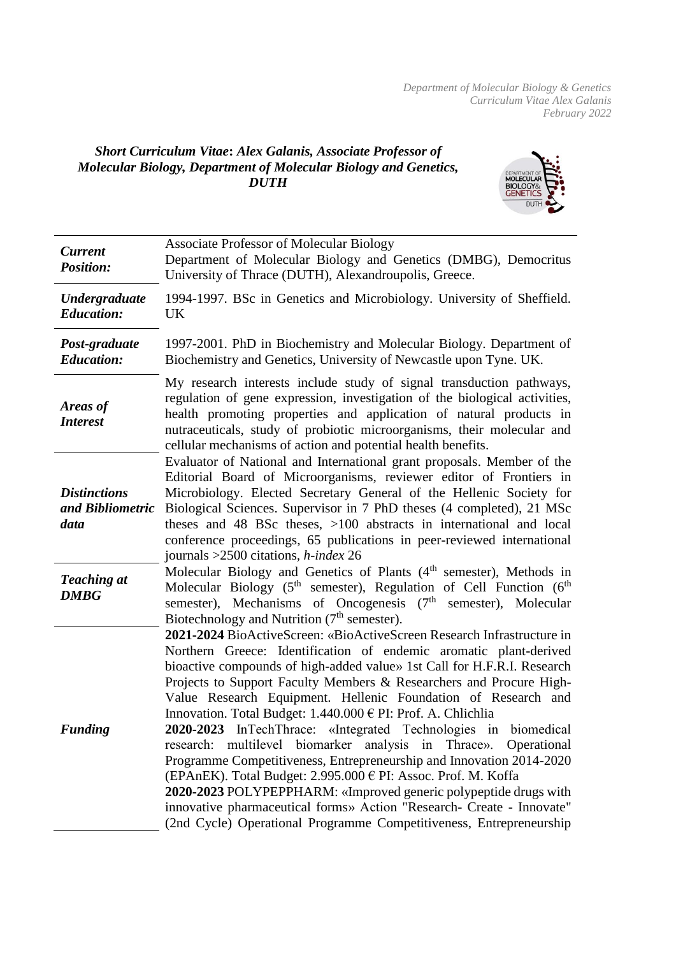*Department of Molecular Biology & Genetics Curriculum Vitae Alex Galanis February 2022*

## *Short Curriculum Vitae***:** *Alex Galanis, Associate Professor of Molecular Biology, Department of Molecular Biology and Genetics, DUTH*



| <b>Current</b><br><b>Position:</b>              | <b>Associate Professor of Molecular Biology</b><br>Department of Molecular Biology and Genetics (DMBG), Democritus<br>University of Thrace (DUTH), Alexandroupolis, Greece.                                                                                                                                                                                                                                                                                                                                                                                                                                                                                                                                                                                                                                                                                                                                                                                                                                                                                                                                                                                                                                                                            |
|-------------------------------------------------|--------------------------------------------------------------------------------------------------------------------------------------------------------------------------------------------------------------------------------------------------------------------------------------------------------------------------------------------------------------------------------------------------------------------------------------------------------------------------------------------------------------------------------------------------------------------------------------------------------------------------------------------------------------------------------------------------------------------------------------------------------------------------------------------------------------------------------------------------------------------------------------------------------------------------------------------------------------------------------------------------------------------------------------------------------------------------------------------------------------------------------------------------------------------------------------------------------------------------------------------------------|
| <b>Undergraduate</b><br><b>Education:</b>       | 1994-1997. BSc in Genetics and Microbiology. University of Sheffield.<br>UK                                                                                                                                                                                                                                                                                                                                                                                                                                                                                                                                                                                                                                                                                                                                                                                                                                                                                                                                                                                                                                                                                                                                                                            |
| Post-graduate<br><b>Education:</b>              | 1997-2001. PhD in Biochemistry and Molecular Biology. Department of<br>Biochemistry and Genetics, University of Newcastle upon Tyne. UK.                                                                                                                                                                                                                                                                                                                                                                                                                                                                                                                                                                                                                                                                                                                                                                                                                                                                                                                                                                                                                                                                                                               |
| Areas of<br><b>Interest</b>                     | My research interests include study of signal transduction pathways,<br>regulation of gene expression, investigation of the biological activities,<br>health promoting properties and application of natural products in<br>nutraceuticals, study of probiotic microorganisms, their molecular and<br>cellular mechanisms of action and potential health benefits.                                                                                                                                                                                                                                                                                                                                                                                                                                                                                                                                                                                                                                                                                                                                                                                                                                                                                     |
| <b>Distinctions</b><br>and Bibliometric<br>data | Evaluator of National and International grant proposals. Member of the<br>Editorial Board of Microorganisms, reviewer editor of Frontiers in<br>Microbiology. Elected Secretary General of the Hellenic Society for<br>Biological Sciences. Supervisor in 7 PhD theses (4 completed), 21 MSc<br>theses and 48 BSc theses, >100 abstracts in international and local<br>conference proceedings, 65 publications in peer-reviewed international<br>journals $>2500$ citations, <i>h</i> -index 26                                                                                                                                                                                                                                                                                                                                                                                                                                                                                                                                                                                                                                                                                                                                                        |
| <b>Teaching at</b><br><b>DMBG</b>               | Molecular Biology and Genetics of Plants (4 <sup>th</sup> semester), Methods in<br>Molecular Biology (5 <sup>th</sup> semester), Regulation of Cell Function (6 <sup>th</sup><br>semester), Mechanisms of Oncogenesis (7 <sup>th</sup> semester), Molecular<br>Biotechnology and Nutrition $(7th$ semester).<br>2021-2024 BioActiveScreen: «BioActiveScreen Research Infrastructure in<br>Northern Greece: Identification of endemic aromatic plant-derived<br>bioactive compounds of high-added value» 1st Call for H.F.R.I. Research<br>Projects to Support Faculty Members & Researchers and Procure High-<br>Value Research Equipment. Hellenic Foundation of Research and<br>Innovation. Total Budget: 1.440.000 € PI: Prof. A. Chlichlia<br>2020-2023 InTechThrace: «Integrated Technologies in biomedical<br>multilevel<br>biomarker analysis in Thrace». Operational<br>research:<br>Programme Competitiveness, Entrepreneurship and Innovation 2014-2020<br>(EPAnEK). Total Budget: 2.995.000 € PI: Assoc. Prof. M. Koffa<br>2020-2023 POLYPEPPHARM: «Improved generic polypeptide drugs with<br>innovative pharmaceutical forms» Action "Research- Create - Innovate"<br>(2nd Cycle) Operational Programme Competitiveness, Entrepreneurship |
| <b>Funding</b>                                  |                                                                                                                                                                                                                                                                                                                                                                                                                                                                                                                                                                                                                                                                                                                                                                                                                                                                                                                                                                                                                                                                                                                                                                                                                                                        |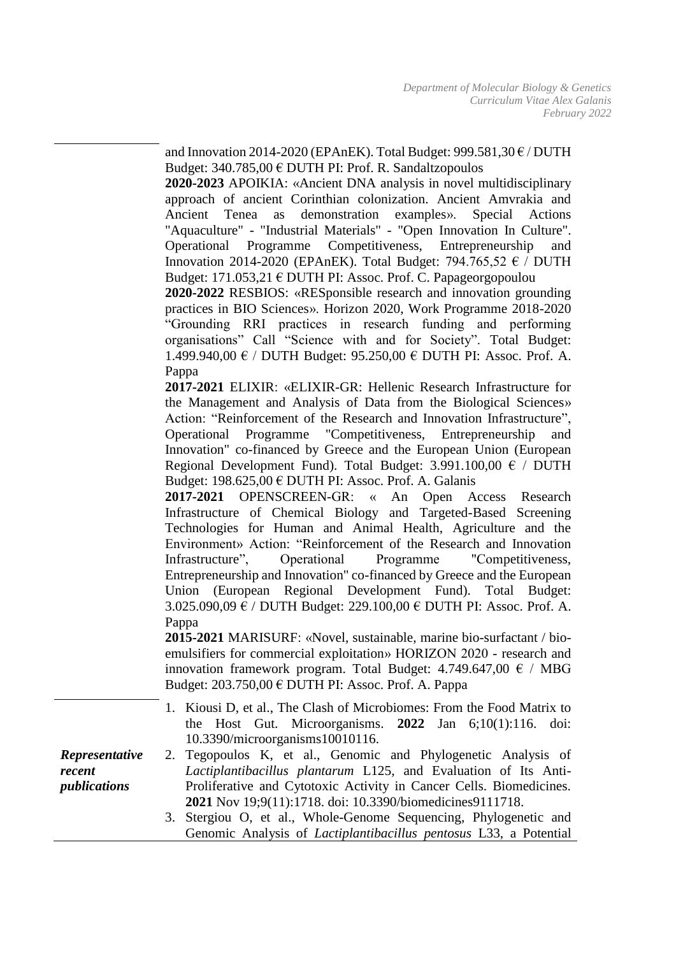and Innovation 2014-2020 (EPAnEK). Total Budget:  $999.581,30 \text{ E}$  / DUTH Budget:  $340.785,00 \in$  DUTH PI: Prof. R. Sandaltzopoulos

**2020-2023** APOIKIA: «Ancient DNA analysis in novel multidisciplinary approach of ancient Corinthian colonization. Ancient Amvrakia and Ancient Tenea as demonstration examples». Special Actions "Aquaculture" - "Industrial Materials" - "Open Innovation In Culture". Operational Programme Competitiveness, Entrepreneurship and Innovation 2014-2020 (EPAnEK). Total Budget: 794.765,52  $\epsilon$  / DUTH Budget: 171.053,21 € DUTH PI: Assoc. Prof. C. Papageorgopoulou

**2020-2022** RESBIOS: «RESponsible research and innovation grounding practices in BIO Sciences». Horizon 2020, Work Programme 2018-2020 "Grounding RRI practices in research funding and performing organisations" Call "Science with and for Society". Total Budget: 1.499.940,00 € / DUTH Budget: 95.250,00 € DUTH PI: Assoc. Prof. A. Pappa

**2017-2021** ELIXIR: «ELIXIR-GR: Hellenic Research Infrastructure for the Management and Analysis of Data from the Biological Sciences» Action: ["Reinforcement of the Research and Innovation Infrastructure"](http://www.antagonistikotita.gr/epanek_en/proskliseis.asp?id=28&cs=), Operational Programme "Competitiveness, Entrepreneurship and Innovation" co-financed by Greece and the European Union (European Regional Development Fund). Total Budget:  $3.991.100,00 \in /$  DUTH Budget: 198.625.00  $\epsilon$  DUTH PI: Assoc. Prof. A. Galanis

**2017-2021** OPENSCREEN-GR: « An Open Access Research Infrastructure of Chemical Biology and Targeted-Based Screening Technologies for Human and Animal Health, Agriculture and the Environment» Action: ["Reinforcement of the Research and Innovation](http://www.antagonistikotita.gr/epanek_en/proskliseis.asp?id=28&cs=)  [Infrastructure"](http://www.antagonistikotita.gr/epanek_en/proskliseis.asp?id=28&cs=), Operational Programme "Competitiveness, Entrepreneurship and Innovation" co-financed by Greece and the European Union (European Regional Development Fund). Total Budget: 3.025.090,09 € / DUTH Budget: 229.100,00 € DUTH PI: Assoc. Prof. A. Pappa

**2015-2021** MARISURF: «Novel, sustainable, marine bio-surfactant / bioemulsifiers for commercial exploitation» HORIZON 2020 - research and innovation framework program. Total Budget:  $4.749.647,00 \text{ } \in / \text{ MBG}$ Budget:  $203.750,00 \in$  DUTH PI: Assoc. Prof. A. Pappa

|                       | 1. Kiousi D, et al., The Clash of Microbiomes: From the Food Matrix to<br>the Host Gut. Microorganisms. $2022$ Jan $6;10(1):116$ . doi: |
|-----------------------|-----------------------------------------------------------------------------------------------------------------------------------------|
|                       | 10.3390/microorganisms10010116.                                                                                                         |
| <b>Representative</b> | 2. Tegopoulos K, et al., Genomic and Phylogenetic Analysis of                                                                           |
| recent                | <i>Lactiplantibacillus plantarum L125</i> , and Evaluation of Its Anti-                                                                 |
| publications          | Proliferative and Cytotoxic Activity in Cancer Cells. Biomedicines.                                                                     |
|                       | 2021 Nov 19;9(11):1718. doi: 10.3390/biomedicines9111718.                                                                               |
|                       | 3. Stergiou O, et al., Whole-Genome Sequencing, Phylogenetic and                                                                        |
|                       |                                                                                                                                         |

Genomic Analysis of *Lactiplantibacillus pentosus* L33, a Potential